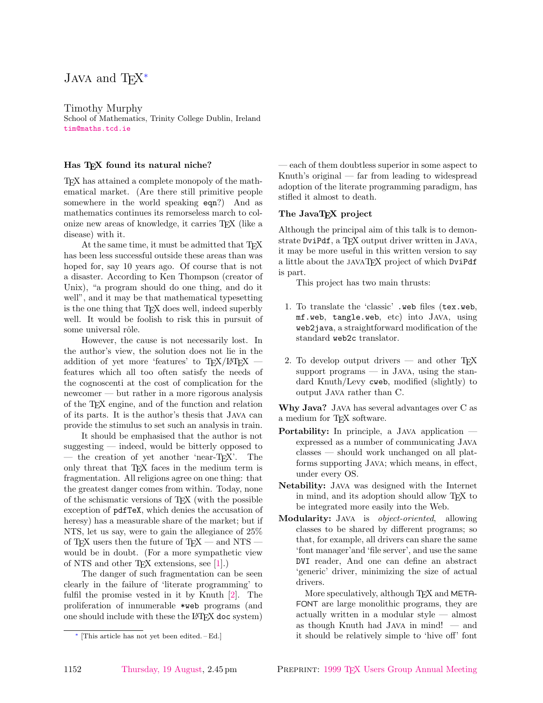# <span id="page-0-0"></span>Java and  $TEX^*$

Timothy Murphy School of Mathematics, Trinity College Dublin, Ireland [tim@maths.tcd.ie](mailto:tim@maths.tcd.ie)

# Has TEX found its natural niche?

TEX has attained a complete monopoly of the mathematical market. (Are there still primitive people somewhere in the world speaking eqn?) And as mathematics continues its remorseless march to colonize new areas of knowledge, it carries TEX (like a disease) with it.

At the same time, it must be admitted that TFX has been less successful outside these areas than was hoped for, say 10 years ago. Of course that is not a disaster. According to Ken Thompson (creator of Unix), "a program should do one thing, and do it well", and it may be that mathematical typesetting is the one thing that T<sub>EX</sub> does well, indeed superbly well. It would be foolish to risk this in pursuit of some universal rôle.

However, the cause is not necessarily lost. In the author's view, the solution does not lie in the addition of yet more 'features' to  $T_{E}X/IAT_{E}X$  features which all too often satisfy the needs of the cognoscenti at the cost of complication for the newcomer — but rather in a more rigorous analysis of the TEX engine, and of the function and relation of its parts. It is the author's thesis that Java can provide the stimulus to set such an analysis in train.

It should be emphasised that the author is not suggesting — indeed, would be bitterly opposed to — the creation of yet another 'near-TEX'. The only threat that T<sub>E</sub>X faces in the medium term is fragmentation. All religions agree on one thing: that the greatest danger comes from within. Today, none of the schismatic versions of TEX (with the possible exception of pdfTeX, which denies the accusation of heresy) has a measurable share of the market; but if NTS, let us say, were to gain the allegiance of 25% of TEX users then the future of TEX — and NTS – would be in doubt. (For a more sympathetic view of NTS and other T<sub>F</sub>X extensions, see  $[1]$ .)

<span id="page-0-2"></span><span id="page-0-1"></span>The danger of such fragmentation can be seen clearly in the failure of 'literate programming' to fulfil the promise vested in it by Knuth [\[2\]](#page-5-0). The proliferation of innumerable \*web programs (and one should include with these the LAT<sub>EX</sub> doc system) — each of them doubtless superior in some aspect to Knuth's original — far from leading to widespread adoption of the literate programming paradigm, has stifled it almost to death.

### The JavaTEX project

Although the principal aim of this talk is to demonstrate DviPdf, a T<sub>F</sub>X output driver written in JAVA, it may be more useful in this written version to say a little about the javaTEX project of which DviPdf is part.

This project has two main thrusts:

- 1. To translate the 'classic' .web files (tex.web, mf.web, tangle.web, etc) into Java, using web2java, a straightforward modification of the standard web2c translator.
- 2. To develop output drivers  $-$  and other T<sub>E</sub>X support programs  $-$  in Java, using the standard Knuth/Levy cweb, modified (slightly) to output Java rather than C.

Why Java? Java has several advantages over C as a medium for TEX software.

- Portability: In principle, a JAVA application expressed as a number of communicating Java classes — should work unchanged on all platforms supporting Java; which means, in effect, under every OS.
- Netability: Java was designed with the Internet in mind, and its adoption should allow TEX to be integrated more easily into the Web.
- Modularity: JAVA is *object-oriented*, allowing classes to be shared by different programs; so that, for example, all drivers can share the same 'font manager'and 'file server', and use the same DVI reader, And one can define an abstract 'generic' driver, minimizing the size of actual drivers.

More speculatively, although T<sub>E</sub>X and META-FONT are large monolithic programs, they are actually written in a modular style — almost as though Knuth had Java in mind! — and it should be relatively simple to 'hive off' font

[<sup>∗</sup>](#page-0-0) [This article has not yet been edited. – Ed.]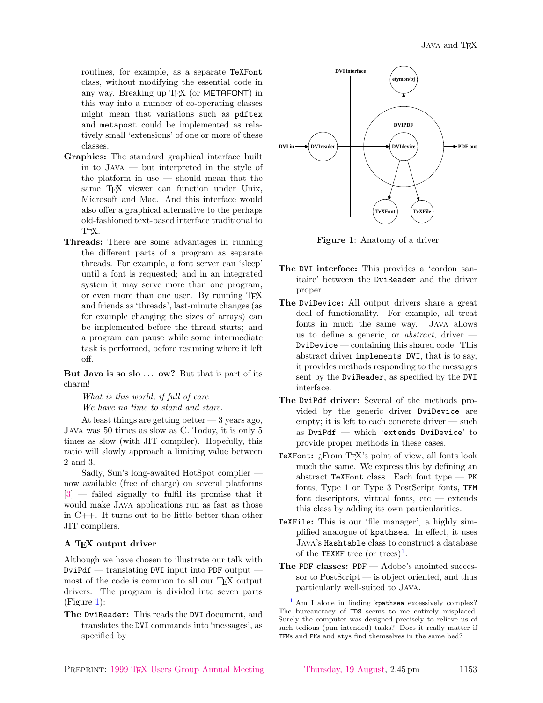routines, for example, as a separate TeXFont class, without modifying the essential code in any way. Breaking up TEX (or METAFONT) in this way into a number of co-operating classes might mean that variations such as pdftex and metapost could be implemented as relatively small 'extensions' of one or more of these classes.

- Graphics: The standard graphical interface built in to Java — but interpreted in the style of the platform in use — should mean that the same T<sub>E</sub>X viewer can function under Unix, Microsoft and Mac. And this interface would also offer a graphical alternative to the perhaps old-fashioned text-based interface traditional to TEX.
- Threads: There are some advantages in running the different parts of a program as separate threads. For example, a font server can 'sleep' until a font is requested; and in an integrated system it may serve more than one program, or even more than one user. By running T<sub>EX</sub> and friends as 'threads', last-minute changes (as for example changing the sizes of arrays) can be implemented before the thread starts; and a program can pause while some intermediate task is performed, before resuming where it left off.

But Java is so slo ... ow? But that is part of its charm!

What is this world, if full of care We have no time to stand and stare.

At least things are getting better  $-3$  years ago, Java was 50 times as slow as C. Today, it is only 5 times as slow (with JIT compiler). Hopefully, this ratio will slowly approach a limiting value between 2 and 3.

<span id="page-1-1"></span>Sadly, Sun's long-awaited HotSpot compiler now available (free of charge) on several platforms [\[3\]](#page-5-0) — failed signally to fulfil its promise that it would make Java applications run as fast as those in C++. It turns out to be little better than other JIT compilers.

#### A TEX output driver

Although we have chosen to illustrate our talk with DviPdf — translating DVI input into PDF output most of the code is common to all our TEX output drivers. The program is divided into seven parts (Figure 1):

The DviReader: This reads the DVI document, and translates the DVI commands into 'messages', as specified by



Figure 1: Anatomy of a driver

- The DVI interface: This provides a 'cordon sanitaire' between the DviReader and the driver proper.
- The DviDevice: All output drivers share a great deal of functionality. For example, all treat fonts in much the same way. Java allows us to define a generic, or *abstract*, driver  $-$ DviDevice — containing this shared code. This abstract driver implements DVI, that is to say, it provides methods responding to the messages sent by the DviReader, as specified by the DVI interface.
- The DviPdf driver: Several of the methods provided by the generic driver DviDevice are empty; it is left to each concrete driver — such as DviPdf — which 'extends DviDevice' to provide proper methods in these cases.
- TeXFont: ¿From TFX's point of view, all fonts look much the same. We express this by defining an abstract TeXFont class. Each font type — PK fonts, Type 1 or Type 3 PostScript fonts, TFM font descriptors, virtual fonts, etc — extends this class by adding its own particularities.
- TeXFile: This is our 'file manager', a highly simplified analogue of kpathsea. In effect, it uses Java's Hashtable class to construct a database of the TEXMF tree (or trees)<sup>1</sup>.
- <span id="page-1-0"></span>The PDF classes: PDF — Adobe's anointed successor to PostScript — is object oriented, and thus particularly well-suited to Java.

 $<sup>1</sup>$  $<sup>1</sup>$  $<sup>1</sup>$  Am I alone in finding kpathsea excessively complex?</sup> The bureaucracy of TDS seems to me entirely misplaced. Surely the computer was designed precisely to relieve us of such tedious (pun intended) tasks? Does it really matter if TFMs and PKs and stys find themselves in the same bed?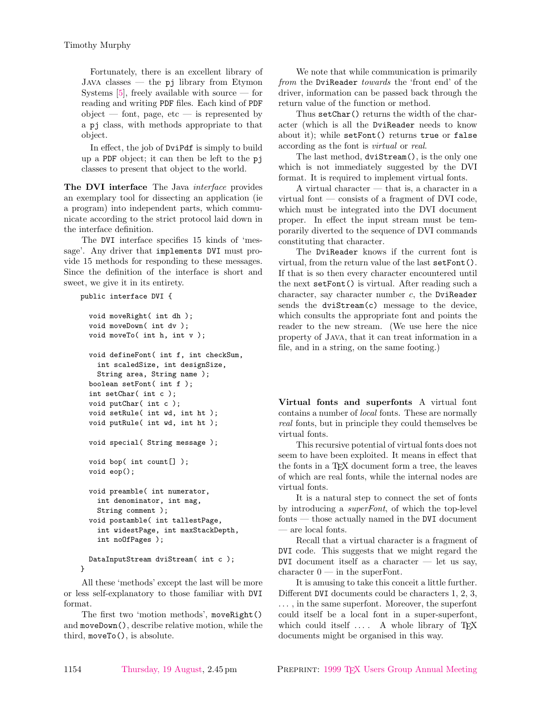<span id="page-2-0"></span>Fortunately, there is an excellent library of  $JAVA$  classes — the pj library from Etymon Systems  $[5]$ , freely available with source — for reading and writing PDF files. Each kind of PDF  $object$  — font, page, etc — is represented by a pj class, with methods appropriate to that object.

In effect, the job of DviPdf is simply to build up a PDF object; it can then be left to the pj classes to present that object to the world.

The DVI interface The Java *interface* provides an exemplary tool for dissecting an application (ie a program) into independent parts, which communicate according to the strict protocol laid down in the interface definition.

The DVI interface specifies 15 kinds of 'message'. Any driver that implements DVI must provide 15 methods for responding to these messages. Since the definition of the interface is short and sweet, we give it in its entirety.

```
public interface DVI {
```

```
void moveRight( int dh );
void moveDown( int dv );
void moveTo( int h, int v );
void defineFont( int f, int checkSum,
  int scaledSize, int designSize,
  String area, String name );
boolean setFont( int f );
int setChar( int c );
void putChar( int c );
void setRule( int wd, int ht );
void putRule( int wd, int ht );
void special( String message );
void bop( int count[] );
void eop();
void preamble( int numerator,
  int denominator, int mag,
  String comment );
void postamble( int tallestPage,
  int widestPage, int maxStackDepth,
  int noOfPages );
DataInputStream dviStream( int c );
```
}

All these 'methods' except the last will be more or less self-explanatory to those familiar with DVI format.

The first two 'motion methods', moveRight() and moveDown(), describe relative motion, while the third, moveTo(), is absolute.

We note that while communication is primarily from the DviReader towards the 'front end' of the driver, information can be passed back through the return value of the function or method.

Thus setChar() returns the width of the character (which is all the DviReader needs to know about it); while setFont() returns true or false according as the font is virtual or real.

The last method, dviStream(), is the only one which is not immediately suggested by the DVI format. It is required to implement virtual fonts.

A virtual character — that is, a character in a virtual font  $\sim$  consists of a fragment of DVI code, which must be integrated into the DVI document proper. In effect the input stream must be temporarily diverted to the sequence of DVI commands constituting that character.

The DviReader knows if the current font is virtual, from the return value of the last setFont(). If that is so then every character encountered until the next setFont() is virtual. After reading such a character, say character number  $c$ , the DviReader sends the dviStream(c) message to the device, which consults the appropriate font and points the reader to the new stream. (We use here the nice property of Java, that it can treat information in a file, and in a string, on the same footing.)

Virtual fonts and superfonts A virtual font contains a number of local fonts. These are normally real fonts, but in principle they could themselves be virtual fonts.

This recursive potential of virtual fonts does not seem to have been exploited. It means in effect that the fonts in a TEX document form a tree, the leaves of which are real fonts, while the internal nodes are virtual fonts.

It is a natural step to connect the set of fonts by introducing a superFont, of which the top-level fonts — those actually named in the DVI document — are local fonts.

Recall that a virtual character is a fragment of DVI code. This suggests that we might regard the DVI document itself as a character  $-$  let us say, character  $0 \text{ -- in the superFont.}$ 

It is amusing to take this conceit a little further. Different DVI documents could be characters 1, 2, 3, . . . , in the same superfont. Moreover, the superfont could itself be a local font in a super-superfont, which could itself  $\dots$ . A whole library of T<sub>F</sub>X documents might be organised in this way.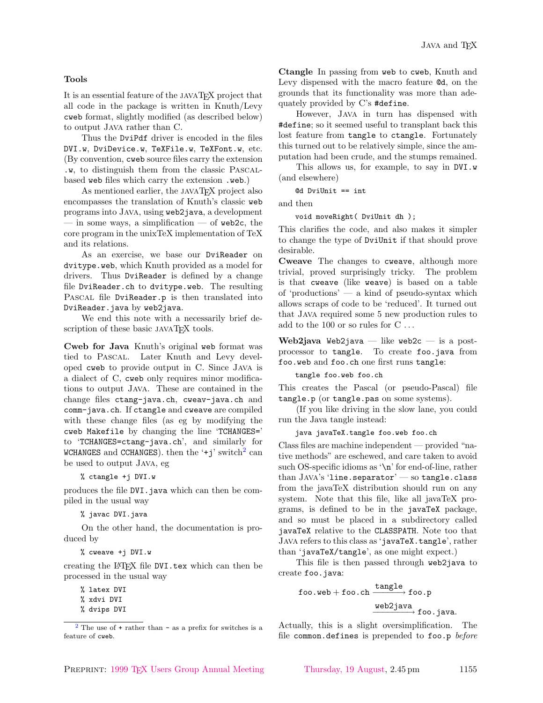#### Tools

It is an essential feature of the javaTEX project that all code in the package is written in Knuth/Levy cweb format, slightly modified (as described below) to output Java rather than C.

Thus the DviPdf driver is encoded in the files DVI.w, DviDevice.w, TeXFile.w, TeXFont.w, etc. (By convention, cweb source files carry the extension .w, to distinguish them from the classic Pascalbased web files which carry the extension .web.)

As mentioned earlier, the JAVAT<sub>EX</sub> project also encompasses the translation of Knuth's classic web programs into Java, using web2java, a development — in some ways, a simplification — of web2c, the core program in the unixTeX implementation of TeX and its relations.

As an exercise, we base our DviReader on dvitype.web, which Knuth provided as a model for drivers. Thus DviReader is defined by a change file DviReader.ch to dvitype.web. The resulting PASCAL file DviReader.p is then translated into DviReader.java by web2java.

We end this note with a necessarily brief description of these basic JAVATEX tools.

Cweb for Java Knuth's original web format was tied to Pascal. Later Knuth and Levy developed cweb to provide output in C. Since Java is a dialect of C, cweb only requires minor modifications to output Java. These are contained in the change files ctang-java.ch, cweav-java.ch and comm-java.ch. If ctangle and cweave are compiled with these change files (as eg by modifying the cweb Makefile by changing the line 'TCHANGES=' to 'TCHANGES=ctang-java.ch', and similarly for WCHANGES and CCHANGES). then the  $'+j'$  switch<sup>2</sup> can be used to output Java, eg

% ctangle +j DVI.w

produces the file DVI.java which can then be compiled in the usual way

% javac DVI.java

On the other hand, the documentation is produced by

% cweave +j DVI.w

creating the LATEX file DVI.tex which can then be processed in the usual way

% latex DVI

% xdvi DVI

% dvips DVI

Ctangle In passing from web to cweb, Knuth and Levy dispensed with the macro feature @d, on the grounds that its functionality was more than adequately provided by C's #define.

However, Java in turn has dispensed with #define; so it seemed useful to transplant back this lost feature from tangle to ctangle. Fortunately this turned out to be relatively simple, since the amputation had been crude, and the stumps remained.

This allows us, for example, to say in DVI.w (and elsewhere)

@d DviUnit == int

and then

void moveRight( DviUnit dh );

This clarifies the code, and also makes it simpler to change the type of DviUnit if that should prove desirable.

Cweave The changes to cweave, although more trivial, proved surprisingly tricky. The problem is that cweave (like weave) is based on a table of 'productions' — a kind of pseudo-syntax which allows scraps of code to be 'reduced'. It turned out that Java required some 5 new production rules to add to the 100 or so rules for  $C \ldots$ 

Web2java Web2java — like web2c — is a postprocessor to tangle. To create foo.java from foo.web and foo.ch one first runs tangle:

tangle foo.web foo.ch

This creates the Pascal (or pseudo-Pascal) file tangle.p (or tangle.pas on some systems).

(If you like driving in the slow lane, you could run the Java tangle instead:

#### java javaTeX.tangle foo.web foo.ch

<span id="page-3-0"></span>Class files are machine independent — provided "native methods" are eschewed, and care taken to avoid such OS-specific idioms as '\n' for end-of-line, rather than  $JAVA's 'line.\separation' - so \tangle. class$ from the javaTeX distribution should run on any system. Note that this file, like all javaTeX programs, is defined to be in the javaTeX package, and so must be placed in a subdirectory called javaTeX relative to the CLASSPATH. Note too that Java refers to this class as 'javaTeX.tangle', rather than 'javaTeX/tangle', as one might expect.)

This file is then passed through web2java to create foo.java:

$$
\texttt{foo.web+foo.ch} \xrightarrow{\texttt{tangle}} \texttt{foo.p} \\ \texttt{web2java} \\ \texttt{foo.java}.
$$

Actually, this is a slight oversimplification. The file common.defines is prepended to foo.p before

 $2$  The use of  $+$  rather than  $-$  as a prefix for switches is a feature of cweb.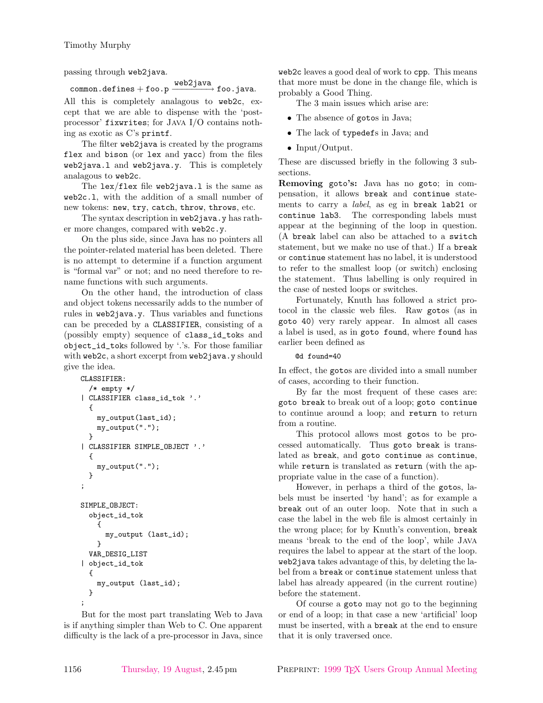passing through web2java.

 $\begin{CD} \text{common. defines} + \text{foo.p} \xrightarrow{\text{web2java}} \text{foo.java}. \end{CD}$ 

All this is completely analagous to web2c, except that we are able to dispense with the 'postprocessor' fixwrites; for Java I/O contains nothing as exotic as C's printf.

The filter web2java is created by the programs flex and bison (or lex and yacc) from the files web2java.l and web2java.y. This is completely analagous to web2c.

The lex/flex file web2java.l is the same as web2c.l, with the addition of a small number of new tokens: new, try, catch, throw, throws, etc.

The syntax description in web2java.y has rather more changes, compared with web2c.y.

On the plus side, since Java has no pointers all the pointer-related material has been deleted. There is no attempt to determine if a function argument is "formal var" or not; and no need therefore to rename functions with such arguments.

On the other hand, the introduction of class and object tokens necessarily adds to the number of rules in web2java.y. Thus variables and functions can be preceded by a CLASSIFIER, consisting of a (possibly empty) sequence of class\_id\_toks and object\_id\_toks followed by '.'s. For those familiar with web2c, a short excerpt from web2java.y should give the idea.

```
CLASSIFIER:
  /* empty */
| CLASSIFIER class_id_tok '.'
  {
    my_output(last_id);
    my_output(".");
  }
| CLASSIFIER SIMPLE_OBJECT '.'
  {
    my_output(".");
  }
;
SIMPLE_OBJECT:
  object_id_tok
    {
      my_output (last_id);
    }
  VAR_DESIG_LIST
| object_id_tok
  {
    my_output (last_id);
  }
;
```
But for the most part translating Web to Java is if anything simpler than Web to C. One apparent difficulty is the lack of a pre-processor in Java, since

web2c leaves a good deal of work to cpp. This means that more must be done in the change file, which is probably a Good Thing.

The 3 main issues which arise are:

- The absence of gotos in Java;
- The lack of typedefs in Java; and
- Input/Output.

These are discussed briefly in the following 3 subsections.

Removing goto's: Java has no goto; in compensation, it allows break and continue statements to carry a *label*, as eg in break lab21 or continue lab3. The corresponding labels must appear at the beginning of the loop in question. (A break label can also be attached to a switch statement, but we make no use of that.) If a break or continue statement has no label, it is understood to refer to the smallest loop (or switch) enclosing the statement. Thus labelling is only required in the case of nested loops or switches.

Fortunately, Knuth has followed a strict protocol in the classic web files. Raw gotos (as in goto 40) very rarely appear. In almost all cases a label is used, as in goto found, where found has earlier been defined as

## @d found=40

In effect, the gotos are divided into a small number of cases, according to their function.

By far the most frequent of these cases are: goto break to break out of a loop; goto continue to continue around a loop; and return to return from a routine.

This protocol allows most gotos to be processed automatically. Thus goto break is translated as break, and goto continue as continue, while return is translated as return (with the appropriate value in the case of a function).

However, in perhaps a third of the gotos, labels must be inserted 'by hand'; as for example a break out of an outer loop. Note that in such a case the label in the web file is almost certainly in the wrong place; for by Knuth's convention, break means 'break to the end of the loop', while Java requires the label to appear at the start of the loop. web2java takes advantage of this, by deleting the label from a break or continue statement unless that label has already appeared (in the current routine) before the statement.

Of course a goto may not go to the beginning or end of a loop; in that case a new 'artificial' loop must be inserted, with a break at the end to ensure that it is only traversed once.